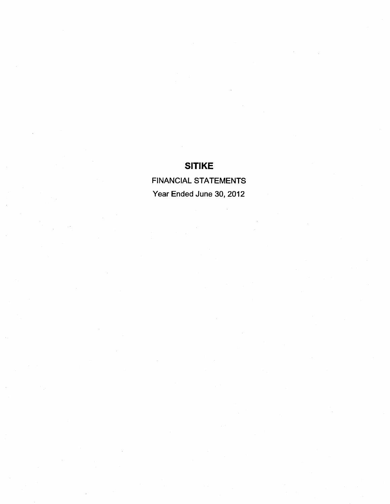FINANCIAL STATEMENTS Year Ended June 30, 2012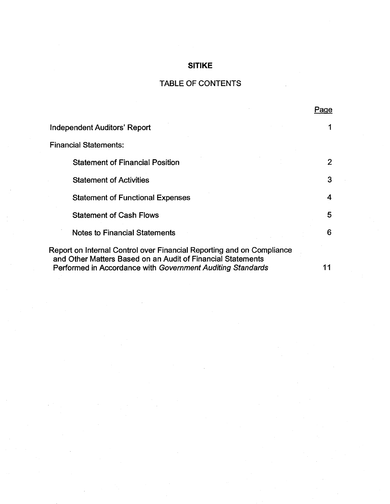| <b>TABLE OF CONTENTS</b> |  |
|--------------------------|--|
|--------------------------|--|

|                                                                                                                                                                                                    | aae |
|----------------------------------------------------------------------------------------------------------------------------------------------------------------------------------------------------|-----|
| <b>Independent Auditors' Report</b>                                                                                                                                                                |     |
| <b>Financial Statements:</b>                                                                                                                                                                       |     |
| <b>Statement of Financial Position</b>                                                                                                                                                             | 2   |
| <b>Statement of Activities</b>                                                                                                                                                                     | 3   |
| <b>Statement of Functional Expenses</b>                                                                                                                                                            | 4   |
| <b>Statement of Cash Flows</b>                                                                                                                                                                     | 5   |
| <b>Notes to Financial Statements</b>                                                                                                                                                               | 6   |
| Report on Internal Control over Financial Reporting and on Compliance<br>and Other Matters Based on an Audit of Financial Statements<br>Performed in Accordance with Government Auditing Standards |     |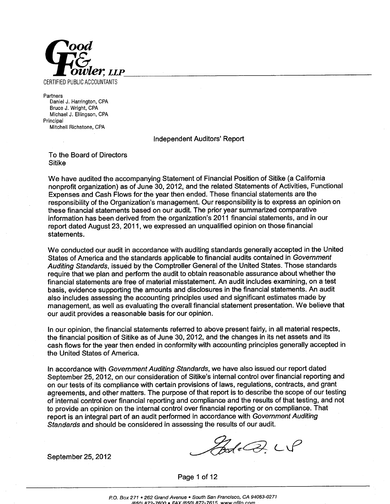

**Partners** Daniel J. Harrington, CPA Bruce J. Wright, CPA Michael J. Ellingson, CPA Principal Mitchell Richstone, CPA

Independent Auditors' Report

To the Board of Directors **Sitike** 

We have audited the accompanying Statement of Financial Position of Sitike (a California nonprofit organization) as of June 30, 2012, and the related Statements of Activities, Functional Expenses and Cash Flows for the year then ended. These financial statements are the responsibility of the Organization's management. Our responsibility is to express an opinion on these financial statements based on our audit. The prior year summarized comparative information has been derived from the organization's 2011 financial statements, and in our report dated August 23, 2011, we expressed an unqualified opinion on those financial statements.

We conducted our audit in accordance with auditing standards generally accepted in the United States of America and the standards applicable to financial audits contained in Government Auditing Standards, issued by the Comptroller General of the United States. Those standards require that we plan and perform the audit to obtain reasonable assurance about whether the financial statements are free of material misstatement. An audit includes examining, on a test basis, evidence supporting the amounts and disclosures in the financial statements. An audit also includes assessing the accounting principles used and significant estimates made by management, as well as evaluating the overall financial statement presentation. We believe that our audit provides a reasonable basis for our opinion.

In our opinion, the financial statements referred to above present fairly, in all material respects, the financial position of Sitike as of June 30, 2012, and the changes in its net assets and its cash flows for the year then ended in conformity with accounting principles generally accepted in the United States of America.

In accordance with Government Auditing Standards, we have also issued our report dated September 25, 2012, on our consideration of Sitike's internal control over financial reporting and on our tests of its compliance with certain provisions of laws, regulations, contracts, and grant agreements, and other matters. The purpose of that report is to describe the scope of our testing of internal control over financial reporting and compliance and the results of that testing, and not to provide an opinion on the internal control over financial reporting or on compliance. That report is an integral part of an audit performed in accordance with Government Auditing Standards and should be considered in assessing the results of our audit.

September 25, 2Q12

Fold UP

Page 1 of 12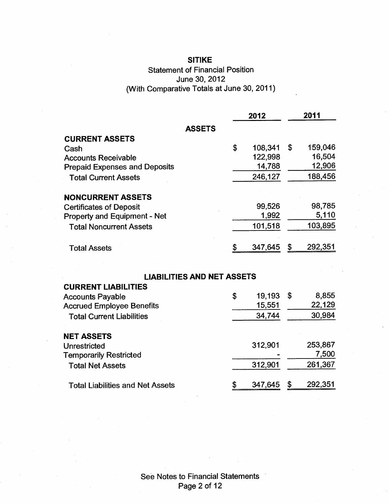# Statement of Financial Position June 30, 2012 (With Comparative Totals at June 30, 2011)

|                                         | 2012          | 2011          |
|-----------------------------------------|---------------|---------------|
| <b>ASSETS</b>                           |               |               |
| <b>CURRENT ASSETS</b>                   |               |               |
| Cash                                    | \$<br>108,341 | \$<br>159,046 |
| <b>Accounts Receivable</b>              | 122,998       | 16,504        |
| <b>Prepaid Expenses and Deposits</b>    | 14,788        | 12,906        |
| <b>Total Current Assets</b>             | 246,127       | 188,456       |
| <b>NONCURRENT ASSETS</b>                |               |               |
| <b>Certificates of Deposit</b>          | 99,526        | 98,785        |
| Property and Equipment - Net            | 1,992         | 5,110         |
| <b>Total Noncurrent Assets</b>          | 101,518       | 103,895       |
| <b>Total Assets</b>                     | \$<br>347,645 | \$<br>292,351 |
|                                         |               |               |
| <b>LIABILITIES AND NET ASSETS</b>       |               |               |
| <b>CURRENT LIABILITIES</b>              |               |               |
| <b>Accounts Payable</b>                 | \$<br>19,193  | \$<br>8,855   |
| <b>Accrued Employee Benefits</b>        | 15,551        | 22,129        |
| <b>Total Current Liabilities</b>        | 34,744        | 30,984        |
| <b>NET ASSETS</b>                       |               |               |
| Unrestricted                            | 312,901       | 253,867       |
| <b>Temporarily Restricted</b>           |               | 7,500         |
| <b>Total Net Assets</b>                 | 312,901       | 261,367       |
| <b>Total Liabilities and Net Assets</b> | \$<br>347,645 | \$<br>292,351 |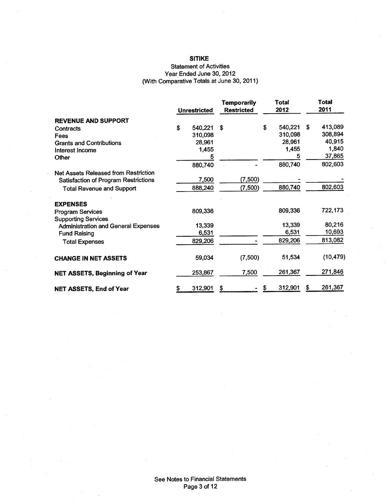#### Statement of Activities Year Ended June 30, 2012 (With Comparative Totals at June 30, 2011)

|                                             | <b>Unrestricted</b> | <b>Temporarily</b><br><b>Restricted</b> | Total<br>2012 |    | Total<br>2011 |
|---------------------------------------------|---------------------|-----------------------------------------|---------------|----|---------------|
| <b>REVENUE AND SUPPORT</b>                  |                     |                                         |               |    |               |
| Contracts                                   | \$<br>540,221       | \$                                      | \$<br>540,221 | S  | 413,089       |
| Fees                                        | 310,098             |                                         | 310,098       |    | 308,894       |
| <b>Grants and Contributions</b>             | 28,961              |                                         | 28,961        |    | 40,915        |
| Interest Income                             | 1,455               |                                         | 1,455         |    | 1,840         |
| Other                                       | 5                   |                                         | 5             |    | 37,865        |
|                                             | 880,740             |                                         | 880,740       |    | 802,603       |
| Net Assets Released from Restriction        |                     |                                         |               |    |               |
| <b>Satisfaction of Program Restrictions</b> | 7,500               | (7,500)                                 |               |    |               |
| <b>Total Revenue and Support</b>            | 888,240             | (7,500)                                 | 880,740       |    | 802,603       |
| <b>EXPENSES</b>                             |                     |                                         |               |    |               |
| Program Services                            | 809,336             |                                         | 809,336       |    | 722,173       |
| <b>Supporting Services</b>                  |                     |                                         |               |    |               |
| <b>Administration and General Expenses</b>  | 13,339              |                                         | 13,339        |    | 80,216        |
| <b>Fund Raising</b>                         | 6,531               |                                         | 6,531         |    | 10,693        |
| <b>Total Expenses</b>                       | 829,206             |                                         | 829,206       |    | 813,082       |
| <b>CHANGE IN NET ASSETS</b>                 | 59,034              | (7,500)                                 | 51,534        |    | (10, 479)     |
| <b>NET ASSETS, Beginning of Year</b>        | 253,867             | 7,500                                   | 261,367       |    | 271,846       |
| <b>NET ASSETS, End of Year</b>              | \$<br>312,901       | \$                                      | \$<br>312,901 | \$ | 261,367       |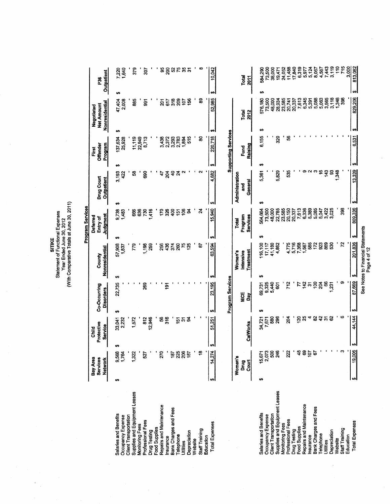.,

Program Services

**Program Services** 

|                                                                                                | Bay Area<br>Services<br>Network | Protective<br>Service<br>Child | Co-Occurring<br><b>Disorders</b> | Nonresidential<br>County |   | Judgment<br>Deferred<br>Entry of | Drug Court<br>Outpatient | Program<br><b>Offender</b><br>First | <b>Nonresidential</b><br>Net Amount<br>Negotiated |             | <b>Outpatient</b><br>P36 |                |
|------------------------------------------------------------------------------------------------|---------------------------------|--------------------------------|----------------------------------|--------------------------|---|----------------------------------|--------------------------|-------------------------------------|---------------------------------------------------|-------------|--------------------------|----------------|
|                                                                                                |                                 |                                |                                  |                          |   |                                  |                          |                                     |                                                   |             |                          |                |
| Salaries and Benefits                                                                          |                                 | 33,041                         | 22,735                           | မာ                       | ₩ |                                  | 3,193                    | 137,634                             |                                                   | 47,404      | e۹                       |                |
|                                                                                                | 9,568<br>1,764                  | 2,232                          |                                  | 57,908<br>1,837          |   | 9,738<br>1,483                   | 422                      | 25,928                              |                                                   | 2,008       |                          | 7,220<br>1,840 |
|                                                                                                |                                 |                                |                                  |                          |   |                                  |                          |                                     |                                                   |             |                          |                |
| Occupancy Expense<br>Client Transportation<br>Supplies and Equipment Leases<br>Monitoring Fees | <u>is</u>                       | 572                            |                                  | 25                       |   | 666                              | 3                        | 11,119                              |                                                   | 885         |                          | 379            |
|                                                                                                |                                 |                                |                                  |                          |   | 636                              |                          | 22,949                              |                                                   |             |                          |                |
|                                                                                                | ន                               | 812                            | 269                              | $\frac{8}{1}$            |   | 730                              | 89                       | 8,713                               |                                                   | 591         |                          | 307            |
|                                                                                                |                                 | 12,946                         |                                  | 259                      |   | 416                              |                          |                                     |                                                   |             |                          |                |
|                                                                                                |                                 |                                |                                  |                          |   |                                  |                          |                                     |                                                   |             |                          |                |
| Drug Testing<br>Food Supplies<br>Repairs and Maintenance                                       | ភ                               | \$                             |                                  |                          |   |                                  |                          | 3,438                               |                                                   | ຂົ          |                          | వ              |
| nsurance                                                                                       |                                 | 316                            | $\frac{5}{2}$                    | ន្លី ទី នី នី            |   | ក្ខន្លខ្ន                        | $\frac{204}{20}$         | 2,372                               |                                                   |             |                          | 200            |
| Bank Charges and Fees                                                                          |                                 |                                |                                  |                          |   |                                  | ੩                        |                                     |                                                   | <b>segs</b> |                          |                |
| <b>Telephone</b>                                                                               |                                 | $\frac{15}{1}$                 |                                  |                          |   | 151                              |                          | 3,293<br>2,783                      |                                                   |             |                          |                |
| <b>Attities</b>                                                                                | ទងនីទ                           |                                |                                  | 75                       |   | °6                               |                          |                                     |                                                   |             |                          | ន្ត្រី និង     |
| Depreciation                                                                                   |                                 | इ                              |                                  | 125                      |   | इ                                |                          | 1,894<br>515                        |                                                   | 156         |                          |                |
| Website                                                                                        |                                 |                                |                                  |                          |   |                                  |                          |                                     |                                                   |             |                          |                |
| Staff Training                                                                                 |                                 |                                |                                  | 5                        |   | 24                               |                          | 80                                  |                                                   | 8           |                          | œ              |
| Education                                                                                      |                                 |                                |                                  |                          |   |                                  |                          |                                     |                                                   |             |                          |                |
| <b>Total Expenses</b>                                                                          | 14,274                          | 51,251                         | 23,195                           | 63,594                   |   | 15,940                           | 4,682                    | 220,718                             |                                                   | 52,985      |                          | 10,042         |
|                                                                                                |                                 |                                | <b>Program Services</b>          |                          |   |                                  |                          | <b>Supporting Services</b>          |                                                   |             |                          |                |
|                                                                                                |                                 |                                |                                  |                          |   |                                  |                          |                                     |                                                   |             |                          |                |

|                                                                                                |                               |                          | Program Services |                                   |                 |     |                 |    | <b>Supporting Services</b> |                                                                                                                                                         |      |         |
|------------------------------------------------------------------------------------------------|-------------------------------|--------------------------|------------------|-----------------------------------|-----------------|-----|-----------------|----|----------------------------|---------------------------------------------------------------------------------------------------------------------------------------------------------|------|---------|
|                                                                                                | Women's                       |                          |                  | Women's                           | Total           |     | Administration  |    |                            |                                                                                                                                                         |      |         |
|                                                                                                | Drug                          |                          | MCE<br>M         | Intensive                         | Program         |     | and             |    | Fund                       | <b>Total</b>                                                                                                                                            |      | Total   |
|                                                                                                | Court                         | CalWorks                 | Day              | Treatment                         | <b>Services</b> |     | General         |    | Raising                    | 2012                                                                                                                                                    | 2011 |         |
| Salaries and Benefits                                                                          |                               |                          |                  |                                   |                 |     | 5,361           | 6A | မာ<br>6,155                |                                                                                                                                                         |      |         |
| <b>Decupancy Expense</b>                                                                       |                               | 34,721<br>7,671<br>3,888 | 69,731<br>9,325  | 16,100<br>17,117<br>41,180        |                 |     |                 |    |                            |                                                                                                                                                         |      |         |
|                                                                                                |                               |                          | 5,440            |                                   |                 |     |                 |    |                            |                                                                                                                                                         |      |         |
| Client Transportation<br>Supplies and Equipment Leases<br>Monitoring Fees<br>Professional Fees | <b>6571</b><br>0.073<br>0.084 |                          | ē5               | 4,862                             |                 |     | 5,829           |    | ន្ល                        | ទី ខ្លួន ទី ខ្លួន អូ ខ្លួន ខ្លួន ខ្លួន ខ្លួន ខ្លួន<br>មិន ខ្លួន ខ្លួន អូ ខ្លួន ខ្លួន ខ្លួន ខ្លួន ខ្លួន<br>មិន ខ្លួន ខ្លួន ខ្លួន ក្នុង ខ្លួន ខ្លួន ខ្លួន |      |         |
|                                                                                                |                               |                          |                  |                                   |                 |     |                 |    |                            |                                                                                                                                                         |      |         |
|                                                                                                | 222                           | टू                       | 712              |                                   |                 |     | 55              |    | 8                          |                                                                                                                                                         |      |         |
| Drug Testing<br>Food Supplies<br>Repairs and Maintenance<br>Insurarce                          |                               |                          |                  | 4,776<br>5,786<br>1,567           |                 |     |                 |    |                            |                                                                                                                                                         |      |         |
|                                                                                                | \$                            |                          |                  |                                   |                 |     |                 |    |                            |                                                                                                                                                         |      |         |
|                                                                                                | 8                             |                          |                  |                                   |                 |     |                 |    |                            |                                                                                                                                                         |      |         |
|                                                                                                | $\overline{5}$                |                          |                  |                                   |                 |     |                 |    |                            |                                                                                                                                                         |      |         |
| Bank Charges and Fees                                                                          |                               | జ                        | ទ្នកទីខ្ព        | <b>8288</b>                       |                 |     |                 |    |                            |                                                                                                                                                         |      |         |
| <b>relephone</b>                                                                               |                               | ्र                       |                  |                                   |                 |     |                 |    |                            |                                                                                                                                                         |      |         |
| Jtilities                                                                                      |                               |                          | 8                |                                   |                 |     | 3               |    |                            |                                                                                                                                                         |      |         |
| Depreciation                                                                                   |                               |                          | <u>្រុះ</u>      | នី                                |                 |     | ຘ               |    |                            |                                                                                                                                                         |      | 3,119   |
| Website                                                                                        |                               |                          |                  |                                   |                 |     | $\frac{348}{2}$ |    |                            | 1,348                                                                                                                                                   |      |         |
| Staff Training                                                                                 |                               | Φ                        |                  |                                   |                 | 398 |                 |    |                            | 398                                                                                                                                                     |      | 유도      |
| Education                                                                                      |                               |                          |                  |                                   |                 |     |                 |    |                            |                                                                                                                                                         |      | 3,000   |
| <b>Total Expenses</b>                                                                          | 19,006                        | 44.144                   | 87,669           | 201,836                           | 809,336         |     | 13,339          |    | 6,531                      | 829,206                                                                                                                                                 |      | 813,082 |
|                                                                                                |                               |                          |                  | See Notes to Financial Statements |                 |     |                 |    |                            |                                                                                                                                                         |      |         |
|                                                                                                |                               |                          |                  | Page 4 of 12                      |                 |     |                 |    |                            |                                                                                                                                                         |      |         |
|                                                                                                |                               |                          |                  |                                   |                 |     |                 |    |                            |                                                                                                                                                         |      |         |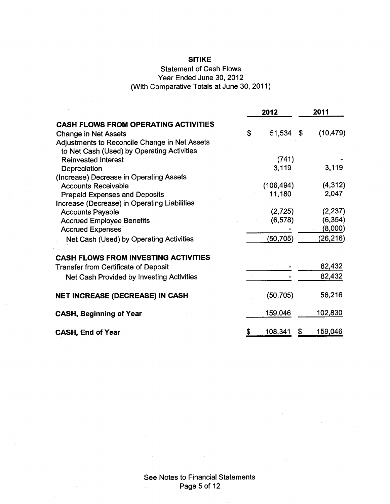Statement of Cash Flows Year Ended June 30, 2012

(With Comparative Totals at June 30, 2011)

|                                                                                             |    | 2012       | 2011            |
|---------------------------------------------------------------------------------------------|----|------------|-----------------|
| <b>CASH FLOWS FROM OPERATING ACTIVITIES</b>                                                 |    |            |                 |
| <b>Change in Net Assets</b>                                                                 | \$ | 51,534     | \$<br>(10, 479) |
| Adjustments to Reconcile Change in Net Assets<br>to Net Cash (Used) by Operating Activities |    |            |                 |
| <b>Reinvested Interest</b>                                                                  |    | (741)      |                 |
| Depreciation                                                                                |    | 3,119      | 3,119           |
| (Increase) Decrease in Operating Assets                                                     |    |            |                 |
| <b>Accounts Receivable</b>                                                                  |    | (106, 494) | (4, 312)        |
| <b>Prepaid Expenses and Deposits</b>                                                        |    | 11,180     | 2,047           |
| Increase (Decrease) in Operating Liabilities                                                |    |            |                 |
| <b>Accounts Payable</b>                                                                     |    | (2, 725)   | (2, 237)        |
| <b>Accrued Employee Benefits</b>                                                            |    | (6, 578)   | (6, 354)        |
| <b>Accrued Expenses</b>                                                                     |    |            | (8,000)         |
| Net Cash (Used) by Operating Activities                                                     |    | (50, 705)  | (26,216)        |
| <b>CASH FLOWS FROM INVESTING ACTIVITIES</b>                                                 |    |            |                 |
| <b>Transfer from Certificate of Deposit</b>                                                 |    |            | 82,432          |
| <b>Net Cash Provided by Investing Activities</b>                                            |    |            | 82,432          |
| NET INCREASE (DECREASE) IN CASH                                                             |    | (50, 705)  | 56,216          |
| <b>CASH, Beginning of Year</b>                                                              |    | 159,046    | 102,830         |
| <b>CASH, End of Year</b>                                                                    | S  | 108,341    | \$<br>159,046   |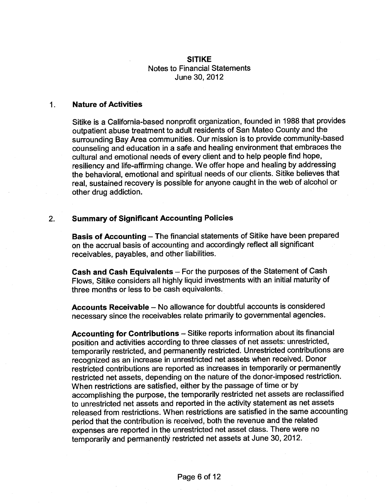### **SITIKE** Notes to Financial Statements June 30, 2012

#### 1. Nature of Activities

Sitike is a California-based nonprofit organization, founded in 1988 that provides outpatient abuse treatment to adult residents of San Mateo County and the surrounding Bay Area communities. Our mission is to provide community-based counseling and education in a safe and healing environment that embraces the cultural and emotional needs of every client and to help people find hope, resiliency and life-affirming change. We offer hope and healing by addressing the behavioral, emotional and spiritual needs of our clients. Sitike believes that real, sustained recovery is possible for anyone caught in the web of alcohol or other drug addiction.

#### 2. Summary of Significant Accounting Policies

Basis of Accounting - The financial statements of Sitike have been prepared on the accrual basis of accounting and accordingly reflect all significant receivables, payables, and other liabilities.

Cash and Cash Equivalents —For the purposes of the Statement of Cash Flows, Sitike considers all highly liquid investments with an initial maturity of three months or less to be cash equivalents.

Accounts Receivable — No allowance for doubtful accounts is considered necessary since the receivables relate primarily to governmental agencies.

Accounting for Contributions — Sitike reports information about its financial position and activities according to three classes of net assets: unrestricted, temporarily restricted, and permanently restricted. Unrestricted contributions are recognized as an increase in unrestricted net assets when received. Donor restricted contributions are reported as increases in temporarily or permanently restricted net assets, depending on the nature of the donor-imposed restriction. When restrictions are satisfied, either by the passage of time or by accomplishing the purpose, the temporarily restricted net assets are reclassified to unrestricted net assets and reported in the activity statement as net assets released from restrictions. When restrictions are satisfied in the same accounting period that the contribution is received, both the revenue and the related expenses are reported in the unrestricted net asset class. There were no temporarily and permanently restricted net assets at June 30, 2012.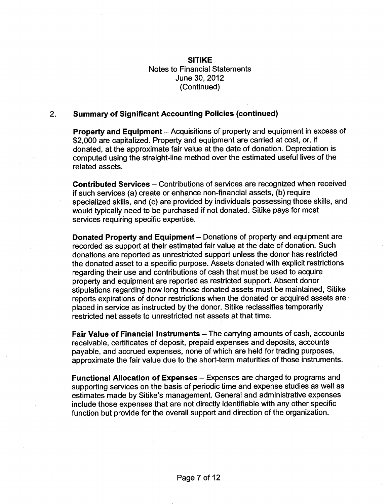# SITIKE Notes to Financial Statements  $-$  June 30, 2012 (Continued)

#### 2. Summary of Significant Accounting Policies (continued

Property and Equipment -- Acquisitions of property and equipment in excess of \$2,000 are capitalized. Property and equipment are carried at cost, or, if donated, at the approximate fair value at the date of donation. Depreciation is computed using the straight-line method over the estimated useful lives of the related assets.

Contributed Services — Contributions of services are recognized when received if such services (a} create or enhance non-financial assets, (b) require specialized skills, and (c) are provided by individuals possessing those skills, and would typically need to be purchased if not donated. Sitike pays for most services requiring specific expertise.

Donated Property and Equipment — Donations of property and equipment are recorded as support at their estimated fair value at the date of donation. Such donations are reported as unrestricted support unless the donor has restricted the donated asset to a specific purpose. Assets donated with explicit restrictions regarding their use and contributions of cash that must be used to acquire property and equipment are reported as restricted support. Absent donor stipulations regarding how long those donated assets must be maintained, Sitike reports expirations of donor restrictions when the donated or acquired assets are placed in service as instructed by the donor. Sitike reclassifies temporarily restricted net assets to unrestricted net assets at that time.

Fair Value of Financial Instruments - The carrying amounts of cash, accounts receivable, certificates of deposit, prepaid expenses and deposits, accounts payable, and accrued expenses, none of which are held for trading purposes, approximate the fair value due to the short-term maturities of those instruments.

Functional Allocation of Expenses — Expenses are charged to programs and supporting services on the basis of periodic time and expense studies as well as estimates made by Sitike's management. General and administrative expenses include those expenses that are not directly identifiable with any other specific function but provide for the overall support and direction of the organization.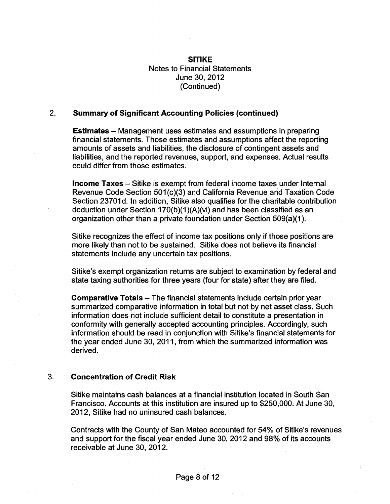# SITIKE Notes to Financial Statements June 30, 2012 (Continued)

### 2. Summary of Significant Accounting Policies {continued)

Estimates — Management uses estimates and assumptions in preparing financial statements. Those estimates and assumptions affect the reporting amounts of assets and liabilities, the disclosure of contingent assets and liabilities, and the reported revenues, support, and expenses. Actual results could differ from those estimates.

Income Taxes — Sitike is exempt from federal income taxes under Internal Revenue Code Section 501(c)(3) and California Revenue and Taxation Code Section 23701d. In addition, Sitike also qualifies for the charitable contribution deduction under Section  $170(b)(1)(A)(vi)$  and has been classified as an organization other than a private foundation under Section 509(a)(1).

Sitike recognizes the effect of income tax positions only if those positions are more likely than not to be sustained. Sitike does not believe its financial statements include any uncertain tax positions.

Sitike's exempt organization returns are subject to examination by federal and state taxing authorities for three years {four for state) after they are filed,

**Comparative Totals** – The financial statements include certain prior year summarized comparative information in total but not by net asset class. Such information does not include sufficient detail to constitute a presentation in conformity with generally accepted accounting principles. Accordingly, such information should be read in conjunction with Sitike's financial statements for the year ended June 30, 2011, from which the summarized information was derived.

#### 3. Concentration of Credit Risk

Sitike maintains cash balances at a financial institution located in South San Francisco. Accounts at this institution are insured up to \$250,000. At June 3Q, 2012, Sitike had no uninsured cash balances.

Contracts with the County of San Mateo accounted for 54% of Sitike's revenues and support for the fiscal year ended June 30, 2012 and 98% of its accounts receivable at June 30, 2012..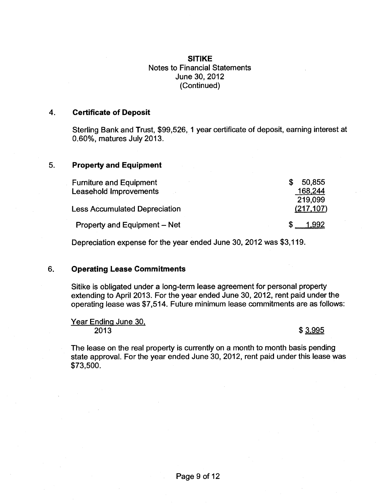# SITIKE Notes to Financial Statements June 30, 2012 (Continued)

#### 4. Certificate of Deposit

Sterling Bank and Trust, \$99,526, 1 year certificate of deposit, earning interest at 0.6Q%, matures July 2013.

#### 5. Property and Equipment

| <b>Furniture and Equipment</b>       | 50,855     |
|--------------------------------------|------------|
| Leasehold Improvements               | 168,244    |
|                                      | 219,099    |
| <b>Less Accumulated Depreciation</b> | (217, 107) |
| Property and Equipment – Net         | \$ 1.992   |

Depreciation expense for the year ended June 30, 2012 was \$3,119.

#### 6. Operating Lease Commitments

Sitike is obligated under a long-term lease agreement for personal property extending to April 2013. For the year ended June 30, 2012, rent paid under the operating lease was \$7,514. Future minimum lease commitments are as follows:

Year Ending June 30,  $2013$  \$  $3.995$ 

The lease on the real property is currently on a month to month basis pending state approval. For the year ended June 30, 2012, rent paid under this lease was \$73,500.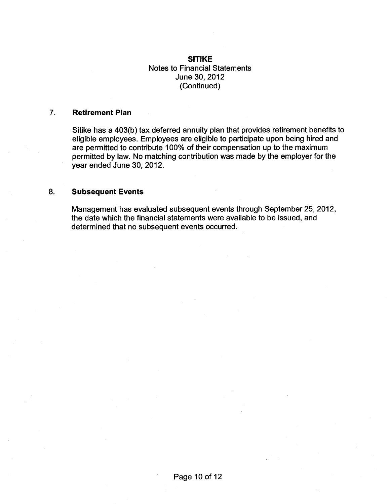## SITiKE Notes to Financial Statements June 30, 2012 (Continued)

#### 7. Retirement Plan

Sitike has a 403(b) tax deferred annuity plan that provides retirement benefits to eligible employees. Employees are eligible to participate upon being hired and are permitted to contribute 100% of their compensation up to the maximum permitted by law. No matching contribution was made by the employer for the year ended June 30, 2012.

#### 8. Subsequent Events

Management has evaluated subsequent events through September 25, 2012, the date which the financial statements were available to be issued, and determined that no subsequent events occurred.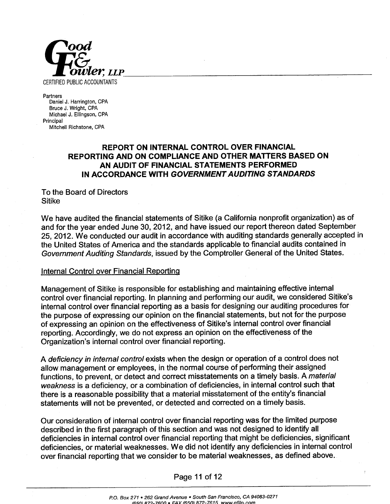

**Partners** Daniel J. Harrington, CPA Bruce J. Wright, CPA Michael J. Ellingson, CPA Principal Mitchell Richstone, CPA

# REPORT ON INTERNAL CONTROL OVER FINANCIAL REPORTING AND ON COMPLIANCE AND OTHER MATTERS EASED QN AN AUDIT OF FINANCIAL STATEMENTS PERFORMED IN ACCORDANCE WITH GOVERNMENT AUDITING STANDARDS

To the Board of Directors **Sitike** 

We have audited the financial statements of Sitike (a California nonprofit organization) as of and for the year ended June 30, 2012, and have issued our report thereon dated September 25, 2012. We conducted our audit in accordance with auditing standards generally accepted in the United States of America and the standards applicable to financial audits contained in Government Auditing Standards, issued by the Comptroller General of the United States.

#### Internal Control over Financial Reporting

Management of Sitike is responsible for establishing and maintaining effective internal control over financial reporting. In planning and performing our audit, we considered Sitike's internal control over financial reporting as a basis for designing our auditing procedures for the purpose of expressing our opinion on the financial statements, but not for the purpose of expressing an opinion on the effectiveness of Sitike's internal control over fiinancial reporting. Accordingly, we do not express an opinion on the effectiveness of the Organization's internal control over financial reporting.

A deficiency in internal control exists when the design or operation of a control does not allow management or employees, in the normal course of performing their assigned functions, to prevent, or detect and correct misstatements on a timely basis. A material weakness is a deficiency, or a combination of deficiencies, in internal control such that there is a reasonable possibility that a material misstatement of the entity's financial statements will not be prevented, or detected and corrected on a timely basis.

Our consideration of internal control over financial reporting was for the limited purpose described in the first paragraph of this section and was not designed to identify all deficiencies in internal control over financial reporting that might be deficiencies, significant deficiencies, or material weaknesses. We did not identify any deficiencies in internal control over financial reporting that we consider to be material weaknesses, as defined above.

Page 11 of 12